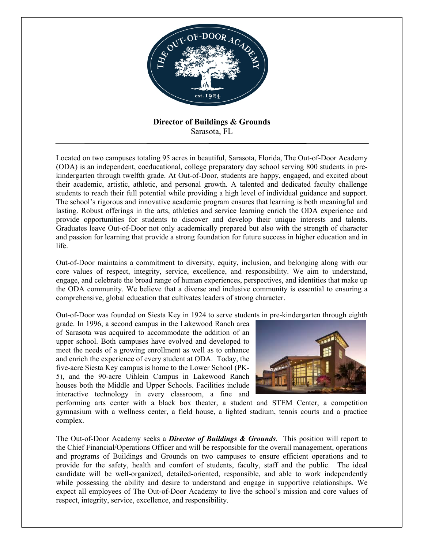

**Director of Buildings & Grounds** Sarasota, FL

Located on two campuses totaling 95 acres in beautiful, Sarasota, Florida, The Out-of-Door Academy (ODA) is an independent, coeducational, college preparatory day school serving 800 students in prekindergarten through twelfth grade. At Out-of-Door, students are happy, engaged, and excited about their academic, artistic, athletic, and personal growth. A talented and dedicated faculty challenge students to reach their full potential while providing a high level of individual guidance and support. The school's rigorous and innovative academic program ensures that learning is both meaningful and lasting. Robust offerings in the arts, athletics and service learning enrich the ODA experience and provide opportunities for students to discover and develop their unique interests and talents. Graduates leave Out-of-Door not only academically prepared but also with the strength of character and passion for learning that provide a strong foundation for future success in higher education and in life.

Out-of-Door maintains a commitment to diversity, equity, inclusion, and belonging along with our core values of respect, integrity, service, excellence, and responsibility. We aim to understand, engage, and celebrate the broad range of human experiences, perspectives, and identities that make up the ODA community. We believe that a diverse and inclusive community is essential to ensuring a comprehensive, global education that cultivates leaders of strong character.

Out-of-Door was founded on Siesta Key in 1924 to serve students in pre-kindergarten through eighth

grade. In 1996, a second campus in the Lakewood Ranch area of Sarasota was acquired to accommodate the addition of an upper school. Both campuses have evolved and developed to meet the needs of a growing enrollment as well as to enhance and enrich the experience of every student at ODA. Today, the five-acre Siesta Key campus is home to the Lower School (PK-5), and the 90-acre Uihlein Campus in Lakewood Ranch houses both the Middle and Upper Schools. Facilities include interactive technology in every classroom, a fine and



performing arts center with a black box theater, a student and STEM Center, a competition gymnasium with a wellness center, a field house, a lighted stadium, tennis courts and a practice complex.

The Out-of-Door Academy seeks a *Director of Buildings & Grounds*. This position will report to the Chief Financial/Operations Officer and will be responsible for the overall management, operations and programs of Buildings and Grounds on two campuses to ensure efficient operations and to provide for the safety, health and comfort of students, faculty, staff and the public. The ideal candidate will be well-organized, detailed-oriented, responsible, and able to work independently while possessing the ability and desire to understand and engage in supportive relationships. We expect all employees of The Out-of-Door Academy to live the school's mission and core values of respect, integrity, service, excellence, and responsibility.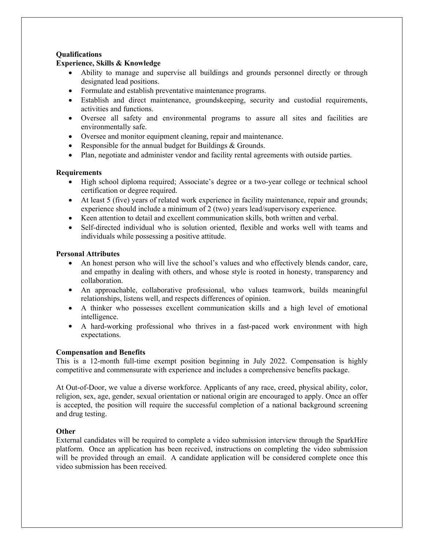# **Qualifications**

# **Experience, Skills & Knowledge**

- Ability to manage and supervise all buildings and grounds personnel directly or through designated lead positions.
- Formulate and establish preventative maintenance programs.
- Establish and direct maintenance, groundskeeping, security and custodial requirements, activities and functions.
- Oversee all safety and environmental programs to assure all sites and facilities are environmentally safe.
- Oversee and monitor equipment cleaning, repair and maintenance.
- Responsible for the annual budget for Buildings & Grounds.
- Plan, negotiate and administer vendor and facility rental agreements with outside parties.

# **Requirements**

- High school diploma required; Associate's degree or a two-year college or technical school certification or degree required.
- At least 5 (five) years of related work experience in facility maintenance, repair and grounds; experience should include a minimum of 2 (two) years lead/supervisory experience.
- Keen attention to detail and excellent communication skills, both written and verbal.
- Self-directed individual who is solution oriented, flexible and works well with teams and individuals while possessing a positive attitude.

# **Personal Attributes**

- An honest person who will live the school's values and who effectively blends candor, care, and empathy in dealing with others, and whose style is rooted in honesty, transparency and collaboration.
- An approachable, collaborative professional, who values teamwork, builds meaningful relationships, listens well, and respects differences of opinion.
- A thinker who possesses excellent communication skills and a high level of emotional intelligence.
- A hard-working professional who thrives in a fast-paced work environment with high expectations.

# **Compensation and Benefits**

This is a 12-month full-time exempt position beginning in July 2022. Compensation is highly competitive and commensurate with experience and includes a comprehensive benefits package.

At Out-of-Door, we value a diverse workforce. Applicants of any race, creed, physical ability, color, religion, sex, age, gender, sexual orientation or national origin are encouraged to apply. Once an offer is accepted, the position will require the successful completion of a national background screening and drug testing.

# **Other**

External candidates will be required to complete a video submission interview through the SparkHire platform. Once an application has been received, instructions on completing the video submission will be provided through an email. A candidate application will be considered complete once this video submission has been received.